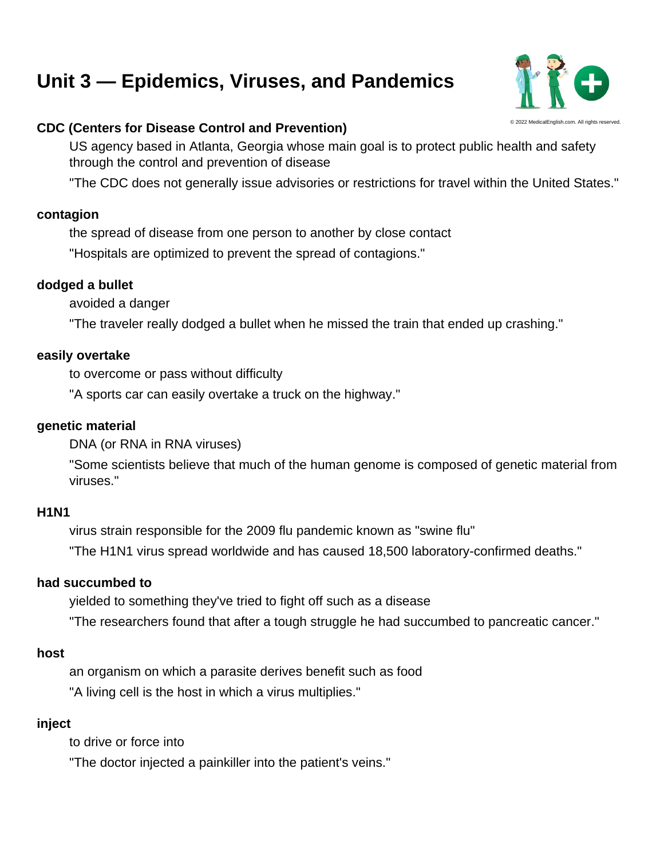# [Unit 3 — Epidemics, Viruses, and Pandemics](https://medicalenglish.com/unit/3/vocabulary)

## © 2022 MedicalEnglish.com. All rights reserved. CDC (Centers for Disease Control and Prevention)

US agency based in Atlanta, Georgia whose main goal is to protect public health and safety through the control and prevention of disease

"The CDC does not generally issue advisories or restrictions for travel within the United States."

## contagion

the spread of disease from one person to another by close contact

"Hospitals are optimized to prevent the spread of contagions."

## dodged a bullet

avoided a danger

"The traveler really dodged a bullet when he missed the train that ended up crashing."

## easily overtake

to overcome or pass without difficulty

"A sports car can easily overtake a truck on the highway."

## genetic material

DNA (or RNA in RNA viruses)

"Some scientists believe that much of the human genome is composed of genetic material from viruses."

## **H1N1**

virus strain responsible for the 2009 flu pandemic known as "swine flu"

"The H1N1 virus spread worldwide and has caused 18,500 laboratory-confirmed deaths."

## had succumbed to

yielded to something they've tried to fight off such as a disease

"The researchers found that after a tough struggle he had succumbed to pancreatic cancer."

## host

an organism on which a parasite derives benefit such as food "A living cell is the host in which a virus multiplies."

## inject

to drive or force into

"The doctor injected a painkiller into the patient's veins."